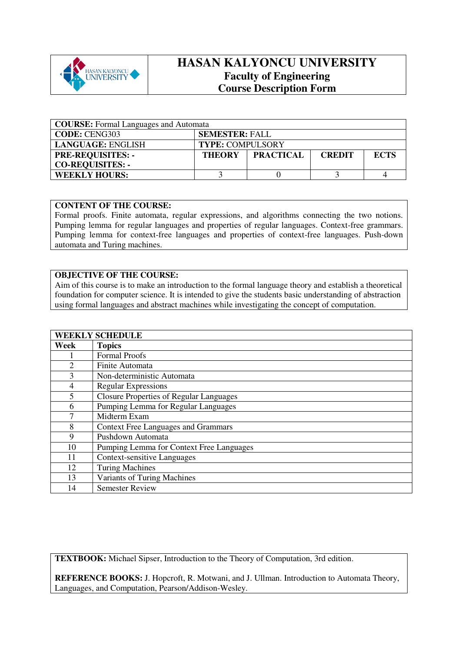

## **HASAN KALYONCU UNIVERSITY Faculty of Engineering Course Description Form**

| <b>COURSE:</b> Formal Languages and Automata |                         |                  |               |             |
|----------------------------------------------|-------------------------|------------------|---------------|-------------|
| <b>CODE: CENG303</b>                         | <b>SEMESTER: FALL</b>   |                  |               |             |
| LANGUAGE: ENGLISH                            | <b>TYPE: COMPULSORY</b> |                  |               |             |
| <b>PRE-REQUISITES: -</b>                     | <b>THEORY</b>           | <b>PRACTICAL</b> | <b>CREDIT</b> | <b>ECTS</b> |
| <b>CO-REQUISITES: -</b>                      |                         |                  |               |             |
| <b>WEEKLY HOURS:</b>                         |                         |                  |               |             |

## **CONTENT OF THE COURSE:**

Formal proofs. Finite automata, regular expressions, and algorithms connecting the two notions. Pumping lemma for regular languages and properties of regular languages. Context-free grammars. Pumping lemma for context-free languages and properties of context-free languages. Push-down automata and Turing machines.

## **OBJECTIVE OF THE COURSE:**

Aim of this course is to make an introduction to the formal language theory and establish a theoretical foundation for computer science. It is intended to give the students basic understanding of abstraction using formal languages and abstract machines while investigating the concept of computation.

| <b>WEEKLY SCHEDULE</b> |                                                |  |  |
|------------------------|------------------------------------------------|--|--|
| Week                   | <b>Topics</b>                                  |  |  |
|                        | <b>Formal Proofs</b>                           |  |  |
| $\overline{2}$         | Finite Automata                                |  |  |
| 3                      | Non-deterministic Automata                     |  |  |
| 4                      | <b>Regular Expressions</b>                     |  |  |
| 5                      | <b>Closure Properties of Regular Languages</b> |  |  |
| 6                      | Pumping Lemma for Regular Languages            |  |  |
| 7                      | Midterm Exam                                   |  |  |
| 8                      | <b>Context Free Languages and Grammars</b>     |  |  |
| 9                      | Pushdown Automata                              |  |  |
| 10                     | Pumping Lemma for Context Free Languages       |  |  |
| 11                     | <b>Context-sensitive Languages</b>             |  |  |
| 12                     | <b>Turing Machines</b>                         |  |  |
| 13                     | <b>Variants of Turing Machines</b>             |  |  |
| 14                     | <b>Semester Review</b>                         |  |  |

**TEXTBOOK:** Michael Sipser, Introduction to the Theory of Computation, 3rd edition.

**REFERENCE BOOKS:** J. Hopcroft, R. Motwani, and J. Ullman. Introduction to Automata Theory, Languages, and Computation, Pearson/Addison-Wesley.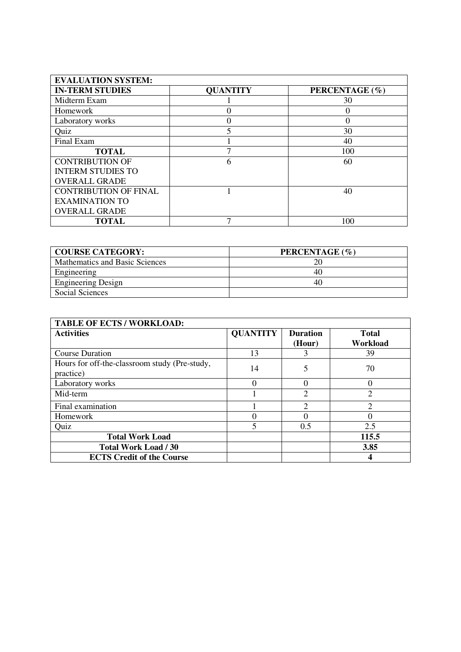| <b>EVALUATION SYSTEM:</b>    |                 |                |
|------------------------------|-----------------|----------------|
| <b>IN-TERM STUDIES</b>       | <b>QUANTITY</b> | PERCENTAGE (%) |
| Midterm Exam                 |                 | 30             |
| Homework                     |                 |                |
| Laboratory works             |                 | 0              |
| Quiz                         |                 | 30             |
| Final Exam                   |                 | 40             |
| <b>TOTAL</b>                 |                 | 100            |
| <b>CONTRIBUTION OF</b>       | 6               | 60             |
| <b>INTERM STUDIES TO</b>     |                 |                |
| <b>OVERALL GRADE</b>         |                 |                |
| <b>CONTRIBUTION OF FINAL</b> |                 | 40             |
| <b>EXAMINATION TO</b>        |                 |                |
| <b>OVERALL GRADE</b>         |                 |                |
| <b>TOTAL</b>                 |                 | 100            |

| <b>COURSE CATEGORY:</b>        | PERCENTAGE (%) |
|--------------------------------|----------------|
| Mathematics and Basic Sciences |                |
| Engineering                    | 40.            |
| <b>Engineering Design</b>      | 40             |
| Social Sciences                |                |

| <b>TABLE OF ECTS / WORKLOAD:</b>                           |                 |                           |                          |
|------------------------------------------------------------|-----------------|---------------------------|--------------------------|
| <b>Activities</b>                                          | <b>QUANTITY</b> | <b>Duration</b><br>(Hour) | <b>Total</b><br>Workload |
| <b>Course Duration</b>                                     | 13              |                           | 39                       |
| Hours for off-the-classroom study (Pre-study,<br>practice) | 14              | 5                         | 70                       |
| Laboratory works                                           | $\Omega$        |                           | $\Omega$                 |
| Mid-term                                                   |                 | $\overline{2}$            | $\overline{2}$           |
| Final examination                                          |                 | $\mathcal{D}$             | ◠                        |
| Homework                                                   | 0               |                           |                          |
| Quiz                                                       | 5               | 0.5                       | 2.5                      |
| <b>Total Work Load</b>                                     |                 |                           | 115.5                    |
| <b>Total Work Load / 30</b>                                |                 |                           | 3.85                     |
| <b>ECTS Credit of the Course</b>                           |                 |                           |                          |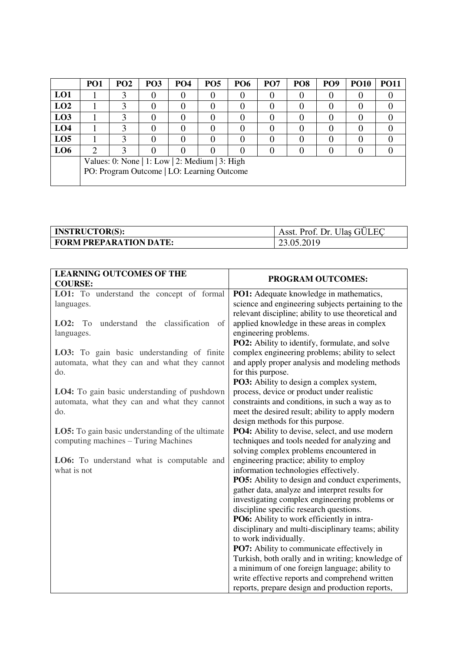|                 | PO <sub>1</sub>                                | PO <sub>2</sub> | <b>PO3</b> | PO <sub>4</sub> | PO <sub>5</sub> | <b>PO6</b> | PO <sub>7</sub> | PO <sub>8</sub> | PO <sub>9</sub> | <b>PO10</b> | <b>PO11</b> |
|-----------------|------------------------------------------------|-----------------|------------|-----------------|-----------------|------------|-----------------|-----------------|-----------------|-------------|-------------|
| LO1             |                                                |                 |            |                 |                 |            |                 |                 |                 |             |             |
| LO2             |                                                |                 |            |                 |                 |            |                 |                 |                 |             |             |
| L <sub>03</sub> |                                                |                 |            |                 |                 |            |                 |                 |                 |             |             |
| LO <sub>4</sub> |                                                |                 |            |                 |                 |            |                 |                 |                 |             |             |
| LO <sub>5</sub> |                                                |                 |            |                 |                 |            |                 |                 |                 |             |             |
| LO <sub>6</sub> |                                                |                 |            |                 |                 |            |                 |                 |                 |             |             |
|                 | Values: 0: None   1: Low   2: Medium   3: High |                 |            |                 |                 |            |                 |                 |                 |             |             |
|                 | PO: Program Outcome   LO: Learning Outcome     |                 |            |                 |                 |            |                 |                 |                 |             |             |
|                 |                                                |                 |            |                 |                 |            |                 |                 |                 |             |             |

| <b>INSTRUCTOR(S):</b>         | Asst. Prof. Dr. Ulas GÜLEC |
|-------------------------------|----------------------------|
| <b>FORM PREPARATION DATE:</b> | 23.05.2019                 |

| <b>LEARNING OUTCOMES OF THE</b><br><b>COURSE:</b>       | PROGRAM OUTCOMES:                                                                                        |
|---------------------------------------------------------|----------------------------------------------------------------------------------------------------------|
| LO1: To understand the concept of formal                | PO1: Adequate knowledge in mathematics,                                                                  |
| languages.                                              | science and engineering subjects pertaining to the                                                       |
|                                                         | relevant discipline; ability to use theoretical and                                                      |
| LO2:<br>understand the classification<br>To<br>of       | applied knowledge in these areas in complex                                                              |
| languages.                                              | engineering problems.                                                                                    |
|                                                         | <b>PO2:</b> Ability to identify, formulate, and solve                                                    |
| LO3: To gain basic understanding of finite              | complex engineering problems; ability to select                                                          |
| automata, what they can and what they cannot<br>do.     | and apply proper analysis and modeling methods<br>for this purpose.                                      |
|                                                         | <b>PO3:</b> Ability to design a complex system,                                                          |
| LO4: To gain basic understanding of pushdown            | process, device or product under realistic                                                               |
| automata, what they can and what they cannot            | constraints and conditions, in such a way as to                                                          |
| do.                                                     | meet the desired result; ability to apply modern                                                         |
|                                                         | design methods for this purpose.                                                                         |
| <b>LO5:</b> To gain basic understanding of the ultimate | PO4: Ability to devise, select, and use modern                                                           |
| computing machines - Turing Machines                    | techniques and tools needed for analyzing and                                                            |
|                                                         | solving complex problems encountered in                                                                  |
| LO6: To understand what is computable and               | engineering practice; ability to employ                                                                  |
| what is not                                             | information technologies effectively.                                                                    |
|                                                         | <b>PO5:</b> Ability to design and conduct experiments,<br>gather data, analyze and interpret results for |
|                                                         | investigating complex engineering problems or                                                            |
|                                                         | discipline specific research questions.                                                                  |
|                                                         | PO6: Ability to work efficiently in intra-                                                               |
|                                                         | disciplinary and multi-disciplinary teams; ability                                                       |
|                                                         | to work individually.                                                                                    |
|                                                         | PO7: Ability to communicate effectively in                                                               |
|                                                         | Turkish, both orally and in writing; knowledge of                                                        |
|                                                         | a minimum of one foreign language; ability to                                                            |
|                                                         | write effective reports and comprehend written                                                           |
|                                                         | reports, prepare design and production reports,                                                          |